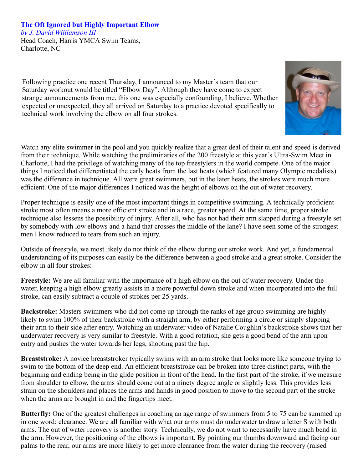## **The Oft Ignored but Highly Important Elbow**

*by J. David Williamson III*

Head Coach, Harris YMCA Swim Teams, Charlotte, NC

Following practice one recent Thursday, I announced to my Master's team that our Saturday workout would be titled "Elbow Day". Although they have come to expect strange announcements from me, this one was especially confounding, I believe. Whether expected or unexpected, they all arrived on Saturday to a practice devoted specifically to technical work involving the elbow on all four strokes.

Watch any elite swimmer in the pool and you quickly realize that a great deal of their talent and speed is derived from their technique. While watching the preliminaries of the 200 freestyle at this year's Ultra-Swim Meet in Charlotte, I had the privilege of watching many of the top freestylers in the world compete. One of the major things I noticed that differentiated the early heats from the last heats (which featured many Olympic medalists) was the difference in technique. All were great swimmers, but in the later heats, the strokes were much more efficient. One of the major differences I noticed was the height of elbows on the out of water recovery.

Proper technique is easily one of the most important things in competitive swimming. A technically proficient stroke most often means a more efficient stroke and in a race, greater speed. At the same time, proper stroke technique also lessens the possibility of injury. After all, who has not had their arm slapped during a freestyle set by somebody with low elbows and a hand that crosses the middle of the lane? I have seen some of the strongest men I know reduced to tears from such an injury.

Outside of freestyle, we most likely do not think of the elbow during our stroke work. And yet, a fundamental understanding of its purposes can easily be the difference between a good stroke and a great stroke. Consider the elbow in all four strokes:

**Freestyle:** We are all familiar with the importance of a high elbow on the out of water recovery. Under the water, keeping a high elbow greatly assists in a more powerful down stroke and when incorporated into the full stroke, can easily subtract a couple of strokes per 25 yards.

**Backstroke:** Masters swimmers who did not come up through the ranks of age group swimming are highly likely to swim 100% of their backstroke with a straight arm, by either performing a circle or simply slapping their arm to their side after entry. Watching an underwater video of Natalie Coughlin's backstroke shows that her underwater recovery is very similar to freestyle. With a good rotation, she gets a good bend of the arm upon entry and pushes the water towards her legs, shooting past the hip.

**Breaststroke:** A novice breaststroker typically swims with an arm stroke that looks more like someone trying to swim to the bottom of the deep end. An efficient breaststroke can be broken into three distinct parts, with the beginning and ending being in the glide position in front of the head. In the first part of the stroke, if we measure from shoulder to elbow, the arms should come out at a ninety degree angle or slightly less. This provides less strain on the shoulders and places the arms and hands in good position to move to the second part of the stroke when the arms are brought in and the fingertips meet.

**Butterfly:** One of the greatest challenges in coaching an age range of swimmers from 5 to 75 can be summed up in one word: clearance. We are all familiar with what our arms must do underwater to draw a letter S with both arms. The out of water recovery is another story. Technically, we do not want to necessarily have much bend in the arm. However, the positioning of the elbows is important. By pointing our thumbs downward and facing our palms to the rear, our arms are more likely to get more clearance from the water during the recovery (raised